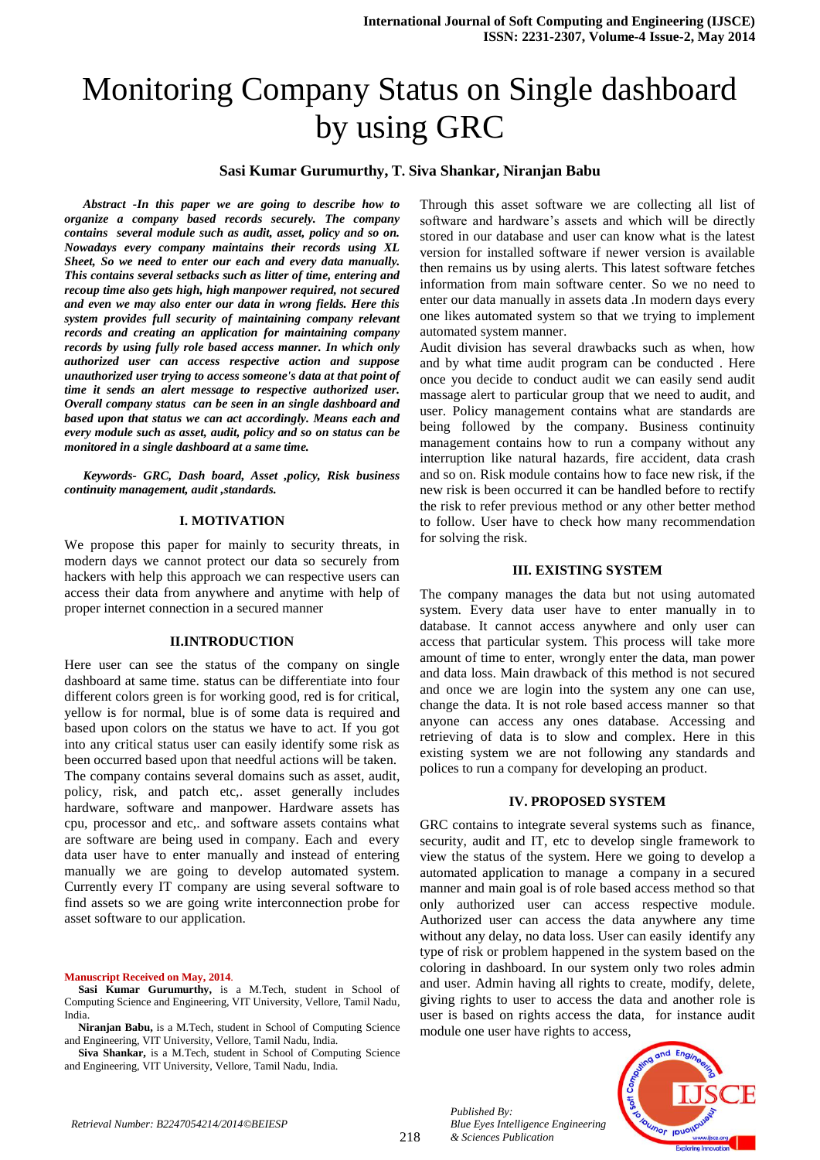# Monitoring Company Status on Single dashboard by using GRC

## **Sasi Kumar Gurumurthy, T. Siva Shankar, Niranjan Babu**

*Abstract -In this paper we are going to describe how to organize a company based records securely. The company contains several module such as audit, asset, policy and so on. Nowadays every company maintains their records using XL Sheet, So we need to enter our each and every data manually. This contains several setbacks such as litter of time, entering and recoup time also gets high, high manpower required, not secured and even we may also enter our data in wrong fields. Here this system provides full security of maintaining company relevant records and creating an application for maintaining company records by using fully role based access manner. In which only authorized user can access respective action and suppose unauthorized user trying to access someone's data at that point of time it sends an alert message to respective authorized user. Overall company status can be seen in an single dashboard and based upon that status we can act accordingly. Means each and every module such as asset, audit, policy and so on status can be monitored in a single dashboard at a same time.*

*Keywords- GRC, Dash board, Asset ,policy, Risk business continuity management, audit ,standards.*

#### **I. MOTIVATION**

We propose this paper for mainly to security threats, in modern days we cannot protect our data so securely from hackers with help this approach we can respective users can access their data from anywhere and anytime with help of proper internet connection in a secured manner

#### **II.INTRODUCTION**

Here user can see the status of the company on single dashboard at same time. status can be differentiate into four different colors green is for working good, red is for critical, yellow is for normal, blue is of some data is required and based upon colors on the status we have to act. If you got into any critical status user can easily identify some risk as been occurred based upon that needful actions will be taken. The company contains several domains such as asset, audit, policy, risk, and patch etc,. asset generally includes hardware, software and manpower. Hardware assets has cpu, processor and etc,. and software assets contains what are software are being used in company. Each and every data user have to enter manually and instead of entering manually we are going to develop automated system. Currently every IT company are using several software to find assets so we are going write interconnection probe for asset software to our application.

#### **Manuscript Received on May, 2014**.

**Siva Shankar,** is a M.Tech, student in School of Computing Science and Engineering, VIT University, Vellore, Tamil Nadu, India.

Through this asset software we are collecting all list of software and hardware's assets and which will be directly stored in our database and user can know what is the latest version for installed software if newer version is available then remains us by using alerts. This latest software fetches information from main software center. So we no need to enter our data manually in assets data .In modern days every one likes automated system so that we trying to implement automated system manner.

Audit division has several drawbacks such as when, how and by what time audit program can be conducted . Here once you decide to conduct audit we can easily send audit massage alert to particular group that we need to audit, and user. Policy management contains what are standards are being followed by the company. Business continuity management contains how to run a company without any interruption like natural hazards, fire accident, data crash and so on. Risk module contains how to face new risk, if the new risk is been occurred it can be handled before to rectify the risk to refer previous method or any other better method to follow. User have to check how many recommendation for solving the risk.

#### **III. EXISTING SYSTEM**

The company manages the data but not using automated system. Every data user have to enter manually in to database. It cannot access anywhere and only user can access that particular system. This process will take more amount of time to enter, wrongly enter the data, man power and data loss. Main drawback of this method is not secured and once we are login into the system any one can use, change the data. It is not role based access manner so that anyone can access any ones database. Accessing and retrieving of data is to slow and complex. Here in this existing system we are not following any standards and polices to run a company for developing an product.

#### **IV. PROPOSED SYSTEM**

GRC contains to integrate several systems such as finance, security, audit and IT, etc to develop single framework to view the status of the system. Here we going to develop a automated application to manage a company in a secured manner and main goal is of role based access method so that only authorized user can access respective module. Authorized user can access the data anywhere any time without any delay, no data loss. User can easily identify any type of risk or problem happened in the system based on the coloring in dashboard. In our system only two roles admin and user. Admin having all rights to create, modify, delete, giving rights to user to access the data and another role is user is based on rights access the data, for instance audit module one user have rights to access,



*Published By:*

*& Sciences Publication* 

*Blue Eyes Intelligence Engineering* 

**Sasi Kumar Gurumurthy,** is a M.Tech, student in School of Computing Science and Engineering, VIT University, Vellore, Tamil Nadu, India.

**Niranjan Babu,** is a M.Tech, student in School of Computing Science and Engineering, VIT University, Vellore, Tamil Nadu, India.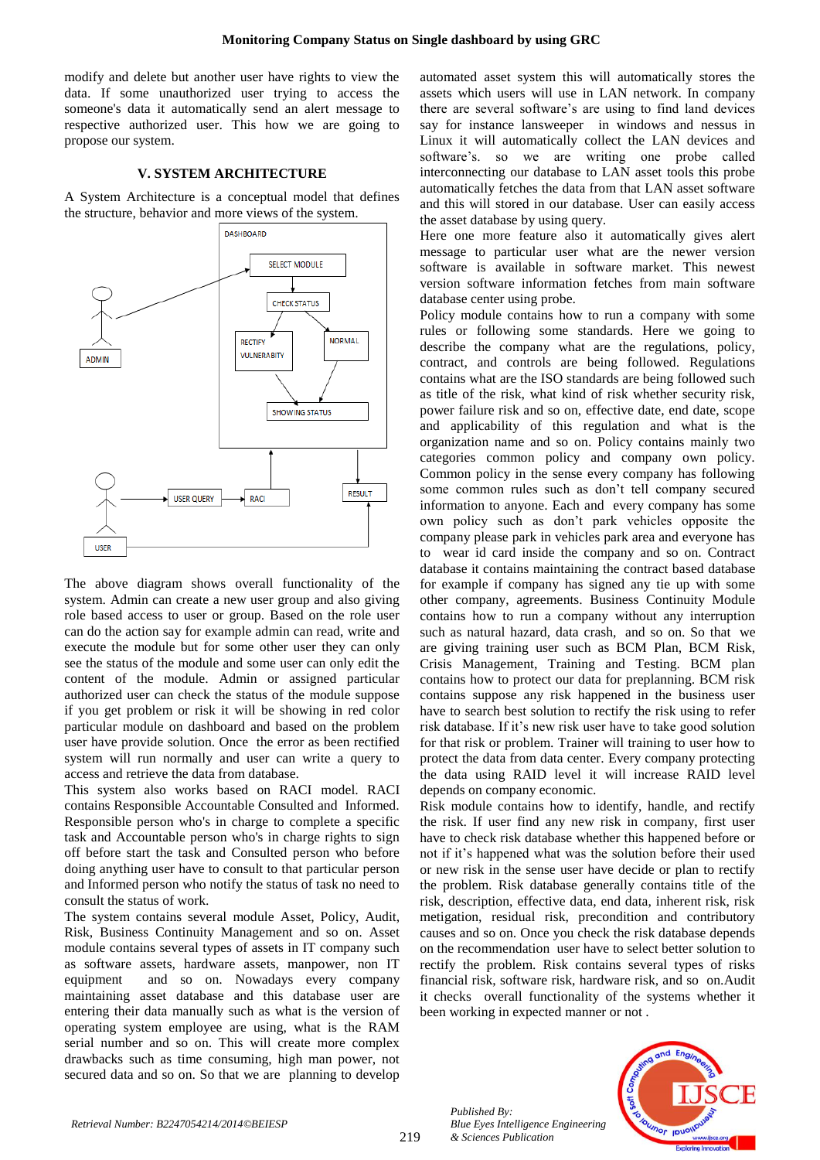modify and delete but another user have rights to view the data. If some unauthorized user trying to access the someone's data it automatically send an alert message to respective authorized user. This how we are going to propose our system.

## **V. SYSTEM ARCHITECTURE**

A System Architecture is a conceptual model that defines the structure, behavior and more views of the system.



The above diagram shows overall functionality of the system. Admin can create a new user group and also giving role based access to user or group. Based on the role user can do the action say for example admin can read, write and execute the module but for some other user they can only see the status of the module and some user can only edit the content of the module. Admin or assigned particular authorized user can check the status of the module suppose if you get problem or risk it will be showing in red color particular module on dashboard and based on the problem user have provide solution. Once the error as been rectified system will run normally and user can write a query to access and retrieve the data from database.

This system also works based on RACI model. RACI contains Responsible Accountable Consulted and Informed. Responsible person who's in charge to complete a specific task and Accountable person who's in charge rights to sign off before start the task and Consulted person who before doing anything user have to consult to that particular person and Informed person who notify the status of task no need to consult the status of work.

The system contains several module Asset, Policy, Audit, Risk, Business Continuity Management and so on. Asset module contains several types of assets in IT company such as software assets, hardware assets, manpower, non IT equipment and so on. Nowadays every company maintaining asset database and this database user are entering their data manually such as what is the version of operating system employee are using, what is the RAM serial number and so on. This will create more complex drawbacks such as time consuming, high man power, not secured data and so on. So that we are planning to develop automated asset system this will automatically stores the assets which users will use in LAN network. In company there are several software's are using to find land devices say for instance lansweeper in windows and nessus in Linux it will automatically collect the LAN devices and software's. so we are writing one probe called interconnecting our database to LAN asset tools this probe automatically fetches the data from that LAN asset software and this will stored in our database. User can easily access the asset database by using query.

Here one more feature also it automatically gives alert message to particular user what are the newer version software is available in software market. This newest version software information fetches from main software database center using probe.

Policy module contains how to run a company with some rules or following some standards. Here we going to describe the company what are the regulations, policy, contract, and controls are being followed. Regulations contains what are the ISO standards are being followed such as title of the risk, what kind of risk whether security risk, power failure risk and so on, effective date, end date, scope and applicability of this regulation and what is the organization name and so on. Policy contains mainly two categories common policy and company own policy. Common policy in the sense every company has following some common rules such as don't tell company secured information to anyone. Each and every company has some own policy such as don't park vehicles opposite the company please park in vehicles park area and everyone has to wear id card inside the company and so on. Contract database it contains maintaining the contract based database for example if company has signed any tie up with some other company, agreements. Business Continuity Module contains how to run a company without any interruption such as natural hazard, data crash, and so on. So that we are giving training user such as BCM Plan, BCM Risk, Crisis Management, Training and Testing. BCM plan contains how to protect our data for preplanning. BCM risk contains suppose any risk happened in the business user have to search best solution to rectify the risk using to refer risk database. If it's new risk user have to take good solution for that risk or problem. Trainer will training to user how to protect the data from data center. Every company protecting the data using RAID level it will increase RAID level depends on company economic.

Risk module contains how to identify, handle, and rectify the risk. If user find any new risk in company, first user have to check risk database whether this happened before or not if it's happened what was the solution before their used or new risk in the sense user have decide or plan to rectify the problem. Risk database generally contains title of the risk, description, effective data, end data, inherent risk, risk metigation, residual risk, precondition and contributory causes and so on. Once you check the risk database depends on the recommendation user have to select better solution to rectify the problem. Risk contains several types of risks financial risk, software risk, hardware risk, and so on.Audit it checks overall functionality of the systems whether it been working in expected manner or not .